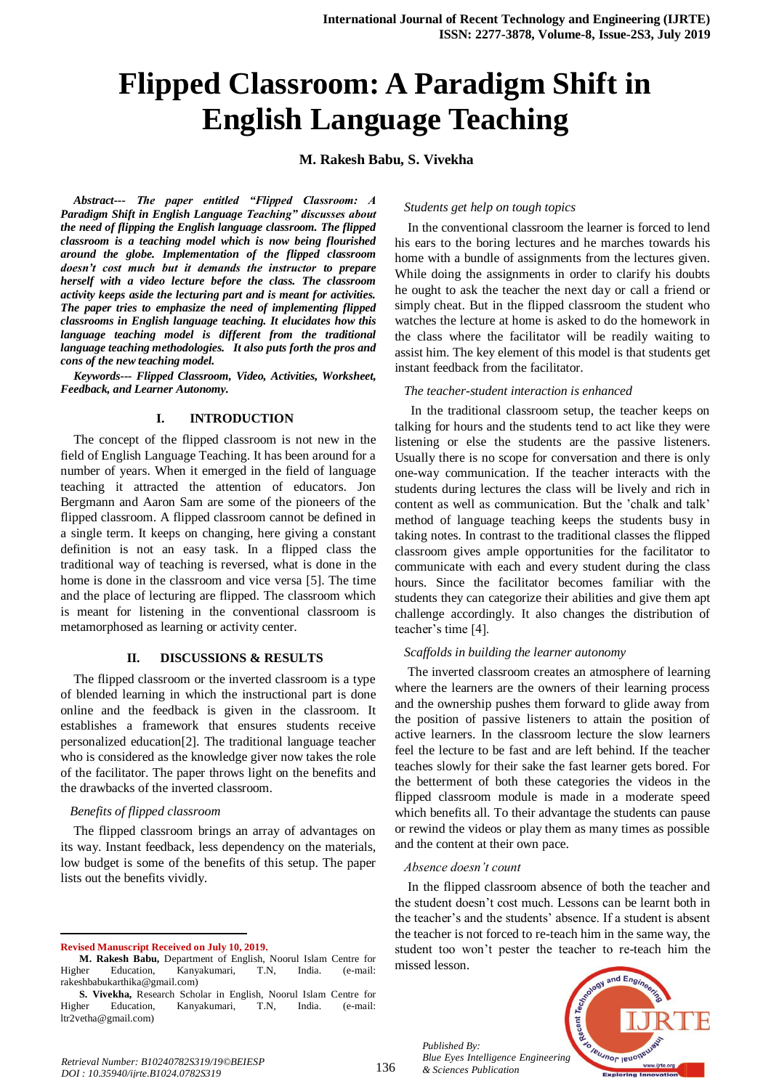# **Flipped Classroom: A Paradigm Shift in English Language Teaching**

## **M. Rakesh Babu, S. Vivekha**

*Abstract--- The paper entitled "Flipped Classroom: A Paradigm Shift in English Language Teaching" discusses about the need of flipping the English language classroom. The flipped classroom is a teaching model which is now being flourished around the globe. Implementation of the flipped classroom doesn't cost much but it demands the instructor to prepare herself with a video lecture before the class. The classroom activity keeps aside the lecturing part and is meant for activities. The paper tries to emphasize the need of implementing flipped classrooms in English language teaching. It elucidates how this language teaching model is different from the traditional language teaching methodologies. It also puts forth the pros and cons of the new teaching model.*

*Keywords--- Flipped Classroom, Video, Activities, Worksheet, Feedback, and Learner Autonomy.*

## **I. INTRODUCTION**

The concept of the flipped classroom is not new in the field of English Language Teaching. It has been around for a number of years. When it emerged in the field of language teaching it attracted the attention of educators. Jon Bergmann and Aaron Sam are some of the pioneers of the flipped classroom. A flipped classroom cannot be defined in a single term. It keeps on changing, here giving a constant definition is not an easy task. In a flipped class the traditional way of teaching is reversed, what is done in the home is done in the classroom and vice versa [5]. The time and the place of lecturing are flipped. The classroom which is meant for listening in the conventional classroom is metamorphosed as learning or activity center.

### **II. DISCUSSIONS & RESULTS**

The flipped classroom or the inverted classroom is a type of blended learning in which the instructional part is done online and the feedback is given in the classroom. It establishes a framework that ensures students receive personalized education[2]. The traditional language teacher who is considered as the knowledge giver now takes the role of the facilitator. The paper throws light on the benefits and the drawbacks of the inverted classroom.

#### *Benefits of flipped classroom*

The flipped classroom brings an array of advantages on its way. Instant feedback, less dependency on the materials, low budget is some of the benefits of this setup. The paper lists out the benefits vividly.

**Revised Manuscript Received on July 10, 2019.**

-

## *Students get help on tough topics*

In the conventional classroom the learner is forced to lend his ears to the boring lectures and he marches towards his home with a bundle of assignments from the lectures given. While doing the assignments in order to clarify his doubts he ought to ask the teacher the next day or call a friend or simply cheat. But in the flipped classroom the student who watches the lecture at home is asked to do the homework in the class where the facilitator will be readily waiting to assist him. The key element of this model is that students get instant feedback from the facilitator.

#### *The teacher-student interaction is enhanced*

In the traditional classroom setup, the teacher keeps on talking for hours and the students tend to act like they were listening or else the students are the passive listeners. Usually there is no scope for conversation and there is only one-way communication. If the teacher interacts with the students during lectures the class will be lively and rich in content as well as communication. But the 'chalk and talk' method of language teaching keeps the students busy in taking notes. In contrast to the traditional classes the flipped classroom gives ample opportunities for the facilitator to communicate with each and every student during the class hours. Since the facilitator becomes familiar with the students they can categorize their abilities and give them apt challenge accordingly. It also changes the distribution of teacher's time [4].

#### *Scaffolds in building the learner autonomy*

The inverted classroom creates an atmosphere of learning where the learners are the owners of their learning process and the ownership pushes them forward to glide away from the position of passive listeners to attain the position of active learners. In the classroom lecture the slow learners feel the lecture to be fast and are left behind. If the teacher teaches slowly for their sake the fast learner gets bored. For the betterment of both these categories the videos in the flipped classroom module is made in a moderate speed which benefits all. To their advantage the students can pause or rewind the videos or play them as many times as possible and the content at their own pace.

#### *Absence doesn't count*

In the flipped classroom absence of both the teacher and the student doesn't cost much. Lessons can be learnt both in the teacher's and the students' absence. If a student is absent the teacher is not forced to re-teach him in the same way, the student too won't pester the teacher to re-teach him the missed lesson.



*Published By: Blue Eyes Intelligence Engineering & Sciences Publication* 

**M. Rakesh Babu,** Department of English, Noorul Islam Centre for Higher Education, Kanyakumari, T.N, India. (e-mail: [rakeshbabukarthika@gmail.com\)](mailto:rakeshbabukarthika@gmail.com)

**S. Vivekha,** Research Scholar in English, Noorul Islam Centre for Higher Education, Kanyakumari, T.N, India. (e-mail: [ltr2vetha@gmail.com\)](mailto:ltr2vetha@gmail.com)